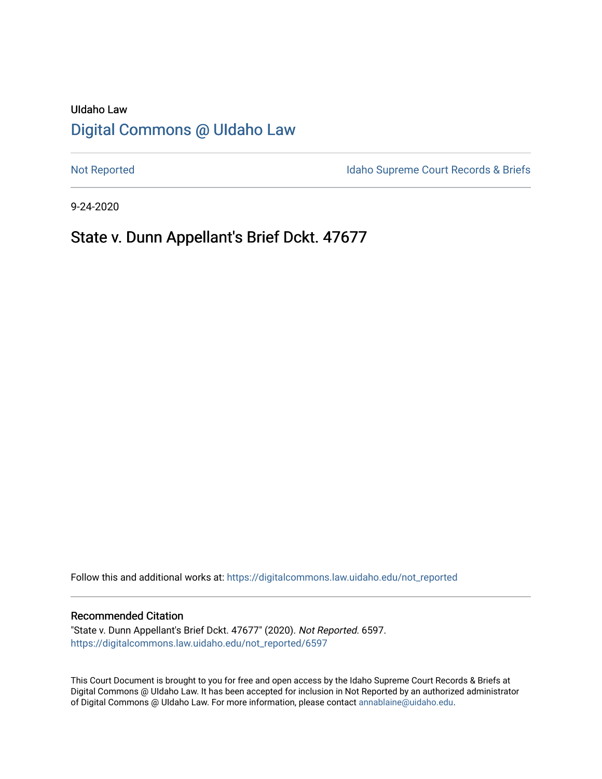# UIdaho Law [Digital Commons @ UIdaho Law](https://digitalcommons.law.uidaho.edu/)

[Not Reported](https://digitalcommons.law.uidaho.edu/not_reported) **Idaho Supreme Court Records & Briefs** 

9-24-2020

# State v. Dunn Appellant's Brief Dckt. 47677

Follow this and additional works at: [https://digitalcommons.law.uidaho.edu/not\\_reported](https://digitalcommons.law.uidaho.edu/not_reported?utm_source=digitalcommons.law.uidaho.edu%2Fnot_reported%2F6597&utm_medium=PDF&utm_campaign=PDFCoverPages) 

### Recommended Citation

"State v. Dunn Appellant's Brief Dckt. 47677" (2020). Not Reported. 6597. [https://digitalcommons.law.uidaho.edu/not\\_reported/6597](https://digitalcommons.law.uidaho.edu/not_reported/6597?utm_source=digitalcommons.law.uidaho.edu%2Fnot_reported%2F6597&utm_medium=PDF&utm_campaign=PDFCoverPages)

This Court Document is brought to you for free and open access by the Idaho Supreme Court Records & Briefs at Digital Commons @ UIdaho Law. It has been accepted for inclusion in Not Reported by an authorized administrator of Digital Commons @ UIdaho Law. For more information, please contact [annablaine@uidaho.edu](mailto:annablaine@uidaho.edu).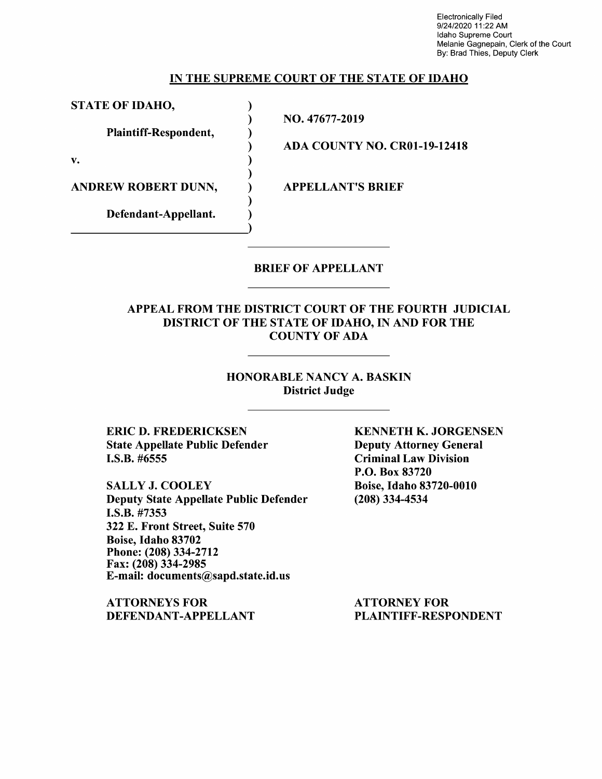Electronically Filed 9/24/2020 11:22 AM Idaho Supreme Court Melanie Gagnepain, Clerk of the Court By: Brad Thies, Deputy Clerk

### **IN THE SUPREME COURT OF THE STATE OF IDAHO**

**STATE OF IDAHO,** )

**Plaintiff-Respondent,** 

**v.** 

**ANDREW ROBERT DUNN,**  $\qquad$  **) APPELLANT'S BRIEF** 

**Defendant-Appellant.** 

NO. 47677-2019

) ) ) ) ) ) ) )

**ADA COUNTY NO. CR0l-19-12418** 

## BRIEF OF APPELLANT

## APPEAL FROM THE DISTRICT COURT OF THE FOURTH JUDICIAL DISTRICT OF THE STATE OF IDAHO, IN AND FOR THE COUNTY OF ADA

### HONORABLE NANCY A. BASKIN District Judge

ERIC D. FREDERICKSEN State Appellate Public Defender I.S.B. #6555

SALLY J. COOLEY Deputy State Appellate Public Defender I.S.B. #7353 322 E. Front Street, Suite 570 Boise, Idaho 83702 Phone:(208)334-2712 Fax: (208) 334-2985 E-mail: documents@sapd.state.id.us

ATTORNEYS FOR DEFENDANT-APPELLANT KENNETH K. JORGENSEN Deputy Attorney General Criminal Law Division P.O. Box 83720 Boise, Idaho 83720-0010 (208) 334-4534

ATTORNEY FOR PLAINTIFF-RESPONDENT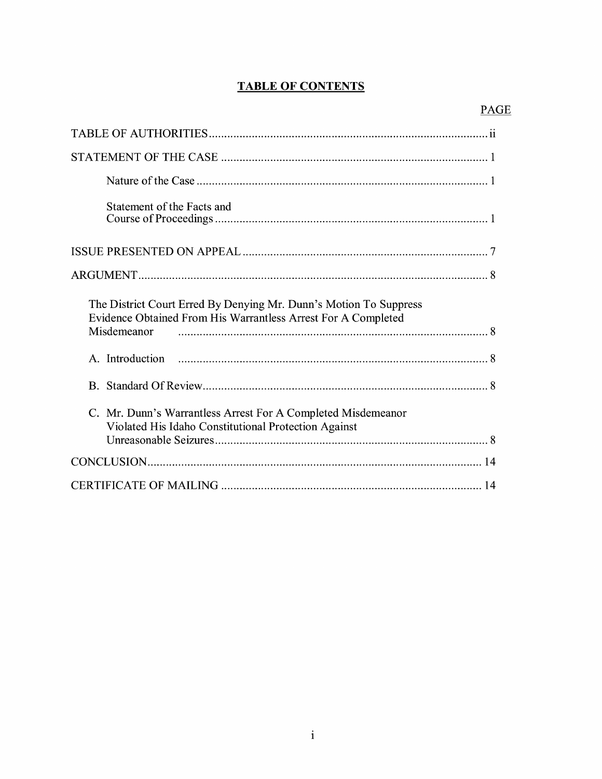## **TABLE OF CONTENTS**

| Statement of the Facts and                                                                                                                        |
|---------------------------------------------------------------------------------------------------------------------------------------------------|
|                                                                                                                                                   |
|                                                                                                                                                   |
| The District Court Erred By Denying Mr. Dunn's Motion To Suppress<br>Evidence Obtained From His Warrantless Arrest For A Completed<br>Misdemeanor |
|                                                                                                                                                   |
|                                                                                                                                                   |
| C. Mr. Dunn's Warrantless Arrest For A Completed Misdemeanor<br>Violated His Idaho Constitutional Protection Against                              |
|                                                                                                                                                   |
|                                                                                                                                                   |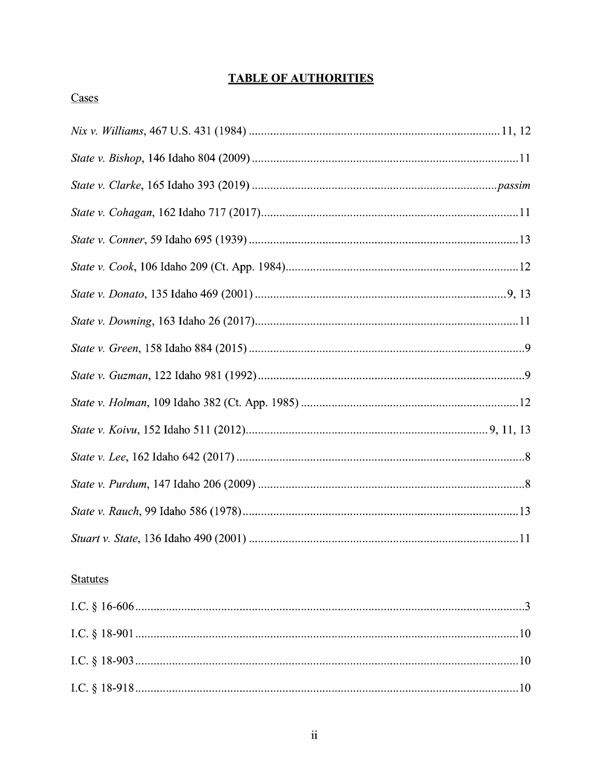## **TABLE OF AUTHORITIES**

## Cases

## **Statutes**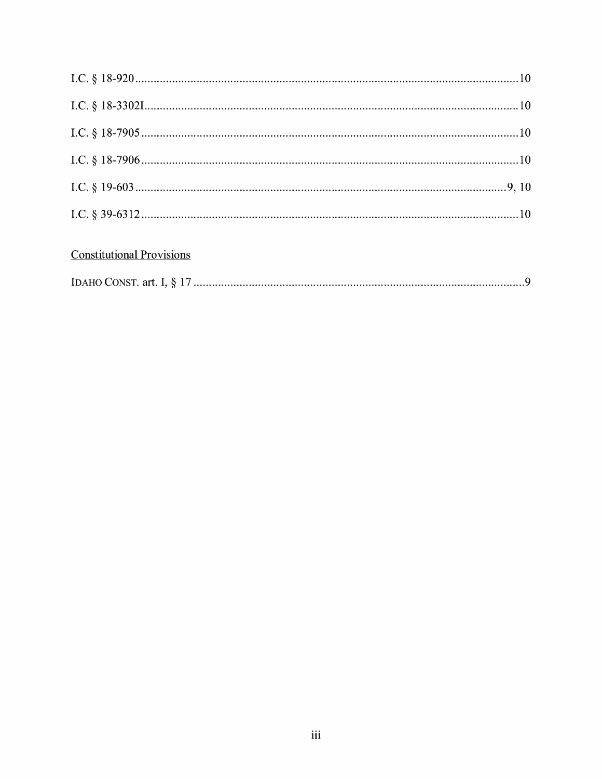## **Constitutional Provisions**

|--|--|--|--|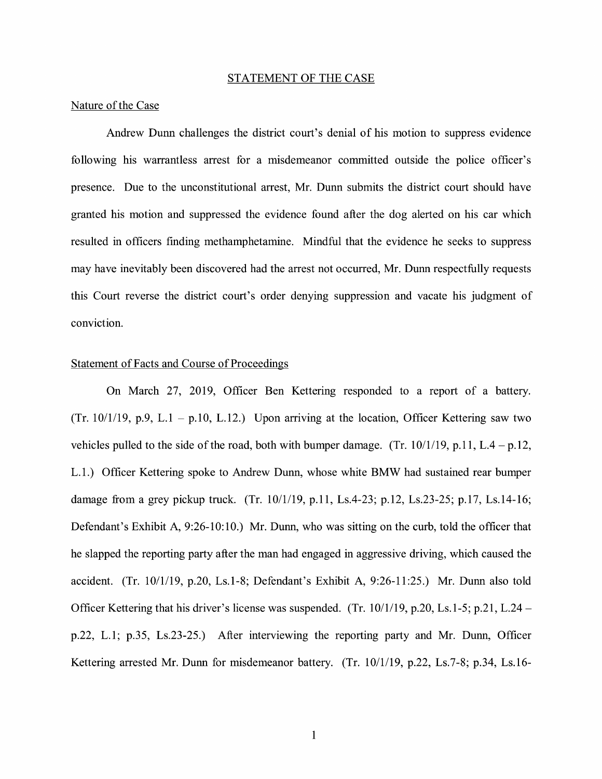#### STATEMENT OF THE CASE

### Nature of the Case

Andrew Dunn challenges the district court's denial of his motion to suppress evidence following his warrantless arrest for a misdemeanor committed outside the police officer's presence. Due to the unconstitutional arrest, Mr. Dunn submits the district court should have granted his motion and suppressed the evidence found after the dog alerted on his car which resulted in officers finding methamphetamine. Mindful that the evidence he seeks to suppress may have inevitably been discovered had the arrest not occurred, Mr. Dunn respectfully requests this Court reverse the district court's order denying suppression and vacate his judgment of conviction.

### Statement of Facts and Course of Proceedings

On March 27, 2019, Officer Ben Kettering responded to a report of a battery. (Tr. 10/1/19, p.9, L.1 – p.10, L.12.) Upon arriving at the location, Officer Kettering saw two vehicles pulled to the side of the road, both with bumper damage. (Tr.  $10/1/19$ , p.11, L.4 - p.12, L.1.) Officer Kettering spoke to Andrew Dunn, whose white BMW had sustained rear bumper damage from a grey pickup truck. (Tr. 10/1/19, p.11, Ls.4-23; p.12, Ls.23-25; p.17, Ls.14-16; Defendant's Exhibit A, 9:26-10:10.) Mr. Dunn, who was sitting on the curb, told the officer that he slapped the reporting party after the man had engaged in aggressive driving, which caused the accident. (Tr. 10/1/19, p.20, Ls.1-8; Defendant's Exhibit A, 9:26-11:25.) Mr. Dunn also told Officer Kettering that his driver's license was suspended. (Tr. 10/1/19, p.20, Ls.1-5; p.21, L.24 p.22, L.1; p.35, Ls.23-25.) After interviewing the reporting party and Mr. Dunn, Officer Kettering arrested Mr. Dunn for misdemeanor battery. (Tr. 10/1/19, p.22, Ls.7-8; p.34, Ls.16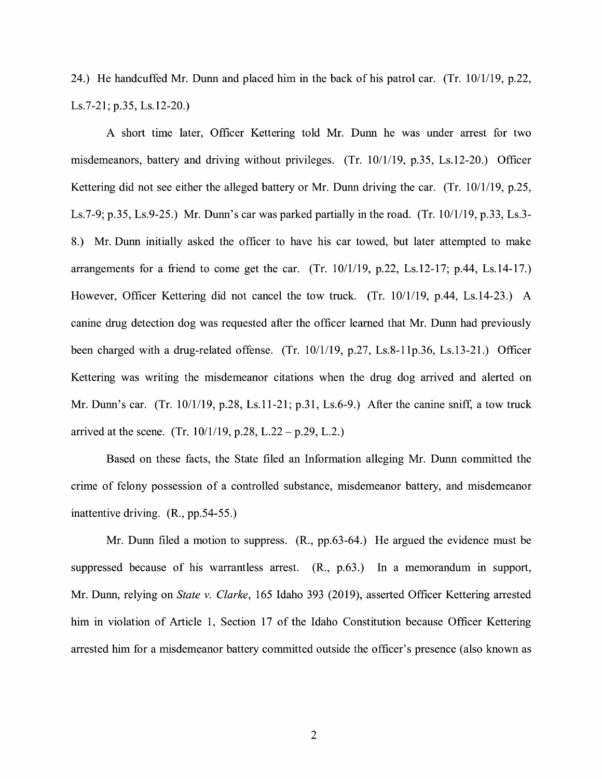24.) He handcuffed Mr. Dunn and placed him in the back of his patrol car. (Tr. 10/1/19, p.22, Ls.7-21; p.35, Ls.12-20.)

A short time later, Officer Kettering told Mr. Dunn he was under arrest for two misdemeanors, battery and driving without privileges. (Tr. 10/1/19, p.35, Ls.12-20.) Officer Kettering did not see either the alleged battery or Mr. Dunn driving the car. (Tr. 10/1/19, p.25, Ls.7-9; p.35, Ls.9-25.) Mr. Dunn's car was parked partially in the road. (Tr. 10/1/19, p.33, Ls.3- 8.) Mr. Dunn initially asked the officer to have his car towed, but later attempted to make arrangements for a friend to come get the car. (Tr.  $10/1/19$ , p.22, Ls.12-17; p.44, Ls.14-17.) However, Officer Kettering did not cancel the tow truck. (Tr. 10/1/19, p.44, Ls.14-23.) A canine drug detection dog was requested after the officer learned that Mr. Dunn had previously been charged with a drug-related offense. (Tr. 10/1/19, p.27, Ls.8-llp.36, Ls.13-21.) Officer Kettering was writing the misdemeanor citations when the drug dog arrived and alerted on Mr. Dunn's car. (Tr. 10/1/19, p.28, Ls.11-21; p.31, Ls.6-9.) After the canine sniff, a tow truck arrived at the scene. (Tr.  $10/1/19$ , p.28, L.22 – p.29, L.2.)

Based on these facts, the State filed an Information alleging Mr. Dunn committed the crime of felony possession of a controlled substance, misdemeanor battery, and misdemeanor inattentive driving. (R., pp.54-55.)

Mr. Dunn filed a motion to suppress. (R., pp.63-64.) He argued the evidence must be suppressed because of his warrantless arrest. (R., p.63.) In a memorandum in support, Mr. Dunn, relying on *State v. Clarke,* 165 Idaho 393 (2019), asserted Officer Kettering arrested him in violation of Article 1, Section 17 of the Idaho Constitution because Officer Kettering arrested him for a misdemeanor battery committed outside the officer's presence ( also known as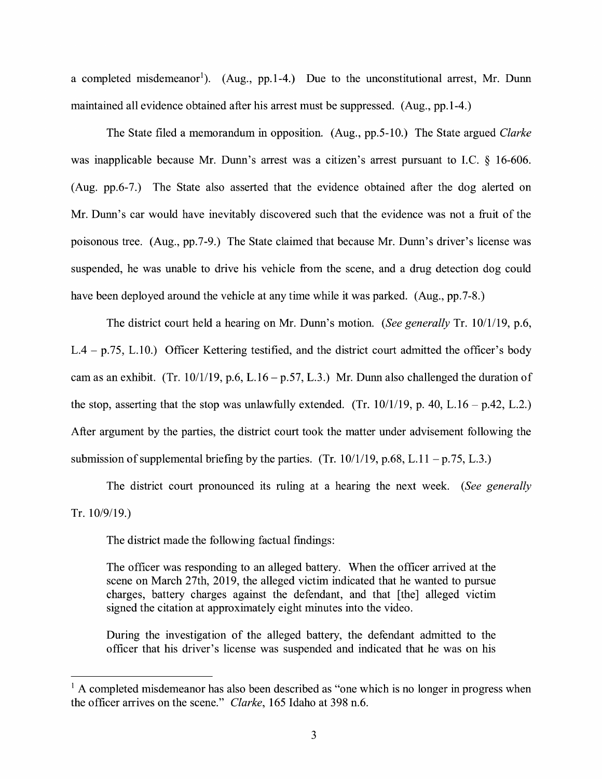a completed misdemeanor<sup>1</sup>). (Aug., pp.1-4.) Due to the unconstitutional arrest, Mr. Dunn maintained all evidence obtained after his arrest must be suppressed. (Aug., pp.1-4.)

The State filed a memorandum in opposition. (Aug., pp.5-10.) The State argued *Clarke*  was inapplicable because Mr. Dunn's arrest was a citizen's arrest pursuant to I.C. § 16-606. (Aug. pp.6-7.) The State also asserted that the evidence obtained after the dog alerted on Mr. Dunn's car would have inevitably discovered such that the evidence was not a fruit of the poisonous tree. (Aug., pp.7-9.) The State claimed that because Mr. Dunn's driver's license was suspended, he was unable to drive his vehicle from the scene, and a drug detection dog could have been deployed around the vehicle at any time while it was parked. (Aug., pp.7-8.)

The district court held a hearing on Mr. Dunn's motion. *(See generally* Tr. 10/1/19, p.6, L.4 - p.75, L.10.) Officer Kettering testified, and the district court admitted the officer's body cam as an exhibit. (Tr. 10/1/19, p.6, L.16 – p.57, L.3.) Mr. Dunn also challenged the duration of the stop, asserting that the stop was unlawfully extended. (Tr.  $10/1/19$ , p. 40, L.16 – p.42, L.2.) After argument by the parties, the district court took the matter under advisement following the submission of supplemental briefing by the parties. (Tr.  $10/1/19$ , p.68, L.11 – p.75, L.3.)

The district court pronounced its ruling at a hearing the next week. *(See generally*  Tr. 10/9/19.)

The district made the following factual findings:

The officer was responding to an alleged battery. When the officer arrived at the scene on March 27th, 2019, the alleged victim indicated that he wanted to pursue charges, battery charges against the defendant, and that [the] alleged victim signed the citation at approximately eight minutes into the video.

During the investigation of the alleged battery, the defendant admitted to the officer that his driver's license was suspended and indicated that he was on his

 $<sup>1</sup>$  A completed misdemeanor has also been described as "one which is no longer in progress when</sup> the officer arrives on the scene." *Clarke,* 165 Idaho at 398 n.6.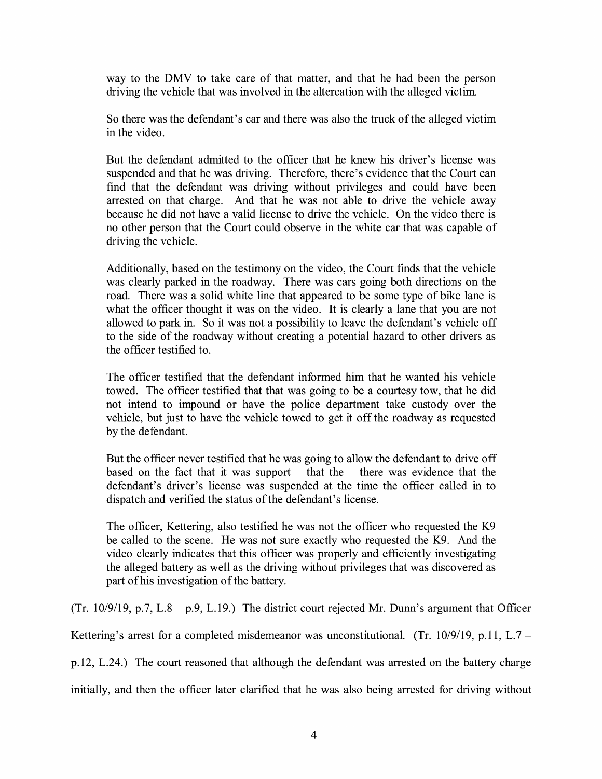way to the DMV to take care of that matter, and that he had been the person driving the vehicle that was involved in the altercation with the alleged victim.

So there was the defendant's car and there was also the truck of the alleged victim in the video.

But the defendant admitted to the officer that he knew his driver's license was suspended and that he was driving. Therefore, there's evidence that the Court can find that the defendant was driving without privileges and could have been arrested on that charge. And that he was not able to drive the vehicle away because he did not have a valid license to drive the vehicle. On the video there is no other person that the Court could observe in the white car that was capable of driving the vehicle.

Additionally, based on the testimony on the video, the Court finds that the vehicle was clearly parked in the roadway. There was cars going both directions on the road. There was a solid white line that appeared to be some type of bike lane is what the officer thought it was on the video. It is clearly a lane that you are not allowed to park in. So it was not a possibility to leave the defendant's vehicle off to the side of the roadway without creating a potential hazard to other drivers as the officer testified to.

The officer testified that the defendant informed him that he wanted his vehicle towed. The officer testified that that was going to be a courtesy tow, that he did not intend to impound or have the police department take custody over the vehicle, but just to have the vehicle towed to get it off the roadway as requested by the defendant.

But the officer never testified that he was going to allow the defendant to drive off based on the fact that it was support  $-$  that the  $-$  there was evidence that the defendant's driver's license was suspended at the time the officer called in to dispatch and verified the status of the defendant's license.

The officer, Kettering, also testified he was not the officer who requested the K9 be called to the scene. He was not sure exactly who requested the K9. And the video clearly indicates that this officer was properly and efficiently investigating the alleged battery as well as the driving without privileges that was discovered as part of his investigation of the battery.

(Tr. 10/9/19, p.7, L.8 – p.9, L.19.) The district court rejected Mr. Dunn's argument that Officer

Kettering's arrest for a completed misdemeanor was unconstitutional. (Tr. 10/9/19, p.11, L.7 –

p.12, L.24.) The court reasoned that although the defendant was arrested on the battery charge

initially, and then the officer later clarified that he was also being arrested for driving without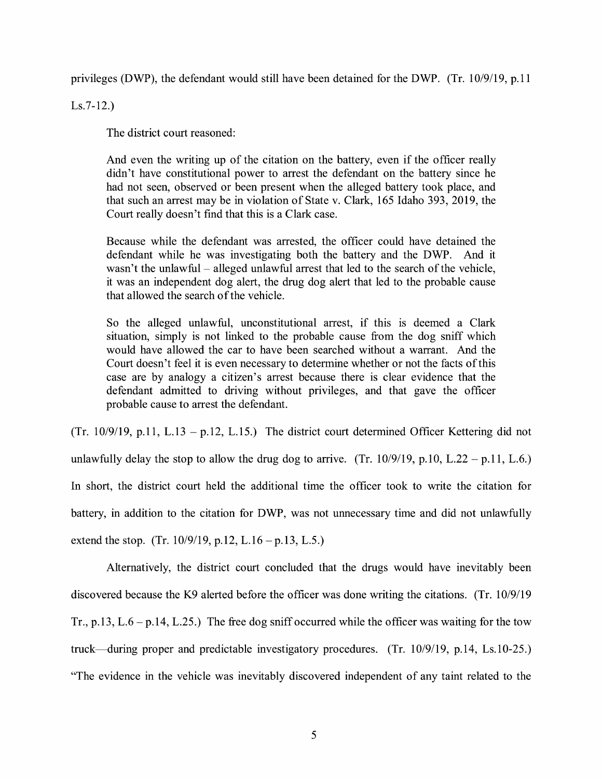privileges (DWP), the defendant would still have been detained for the DWP. (Tr. 10/9/19, p.11

Ls.7-12.)

The district court reasoned:

And even the writing up of the citation on the battery, even if the officer really didn't have constitutional power to arrest the defendant on the battery since he had not seen, observed or been present when the alleged battery took place, and that such an arrest may be in violation of State v. Clark, 165 Idaho 393, 2019, the Court really doesn't find that this is a Clark case.

Because while the defendant was arrested, the officer could have detained the defendant while he was investigating both the battery and the DWP. And it wasn't the unlawful  $-$  alleged unlawful arrest that led to the search of the vehicle, it was an independent dog alert, the drug dog alert that led to the probable cause that allowed the search of the vehicle.

So the alleged unlawful, unconstitutional arrest, if this is deemed a Clark situation, simply is not linked to the probable cause from the dog sniff which would have allowed the car to have been searched without a warrant. And the Court doesn't feel it is even necessary to determine whether or not the facts of this case are by analogy a citizen's arrest because there is clear evidence that the defendant admitted to driving without privileges, and that gave the officer probable cause to arrest the defendant.

(Tr. 10/9/19, p.11, L.13 - p.12, L.15.) The district court determined Officer Kettering did not unlawfully delay the stop to allow the drug dog to arrive. (Tr.  $10/9/19$ , p.10, L.22 – p.11, L.6.) In short, the district court held the additional time the officer took to write the citation for battery, in addition to the citation for DWP, was not unnecessary time and did not unlawfully extend the stop. (Tr. 10/9/19, p.12, L.16 – p.13, L.5.)

Alternatively, the district court concluded that the drugs would have inevitably been discovered because the K9 alerted before the officer was done writing the citations. (Tr. 10/9/19 Tr., p.13, L.6 - p.14, L.25.) The free dog sniff occurred while the officer was waiting for the tow truck-during proper and predictable investigatory procedures. (Tr. 10/9/19, p.14, Ls.10-25.) "The evidence in the vehicle was inevitably discovered independent of any taint related to the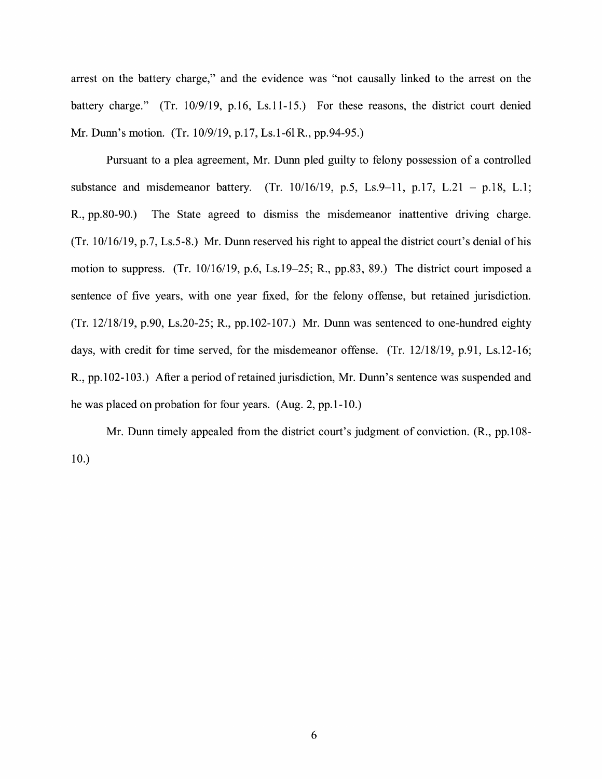arrest on the battery charge," and the evidence was "not causally linked to the arrest on the battery charge." (Tr. 10/9/19, p.16, Ls.11-15.) For these reasons, the district court denied Mr. Dunn's motion. (Tr. 10/9/19, p.17, Ls.1-61 R., pp.94-95.)

Pursuant to a plea agreement, Mr. Dunn pled guilty to felony possession of a controlled substance and misdemeanor battery. (Tr.  $10/16/19$ , p.5, Ls.9-11, p.17, L.21 - p.18, L.1; R., pp.80-90.) The State agreed to dismiss the misdemeanor inattentive driving charge. (Tr. 10/16/19, p.7, Ls.5-8.) Mr. Dunn reserved his right to appeal the district court's denial of his motion to suppress. (Tr. 10/16/19, p.6, Ls.19-25; R., pp.83, 89.) The district court imposed a sentence of five years, with one year fixed, for the felony offense, but retained jurisdiction. (Tr. 12/18/19, p.90, Ls.20-25; R., pp.102-107.) Mr. Dunn was sentenced to one-hundred eighty days, with credit for time served, for the misdemeanor offense. (Tr. 12/18/19, p.91, Ls.12-16; R., pp. 102-103.) After a period of retained jurisdiction, Mr. Dunn's sentence was suspended and he was placed on probation for four years. (Aug. 2, pp.1-10.)

Mr. Dunn timely appealed from the district court's judgment of conviction. (R., pp.108- 10.)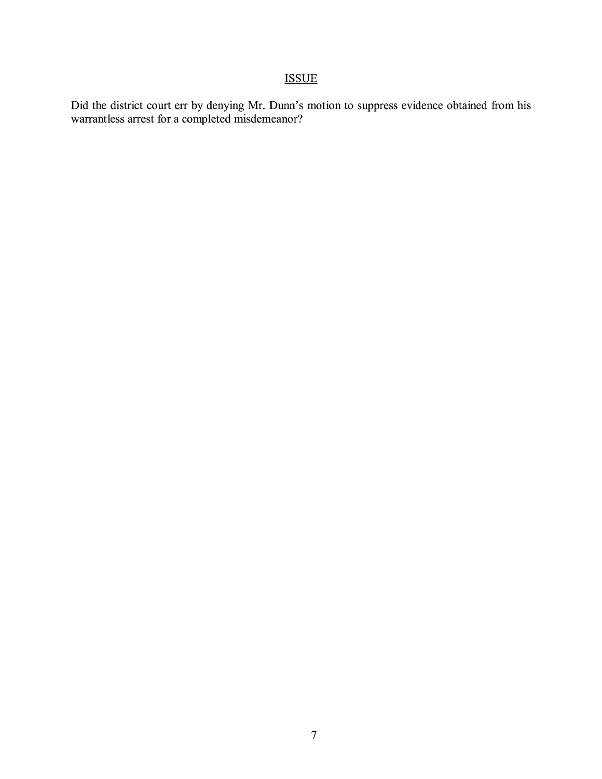# ISSUE

Did the district court err by denying Mr. Dunn's motion to suppress evidence obtained from his warrantless arrest for a completed misdemeanor?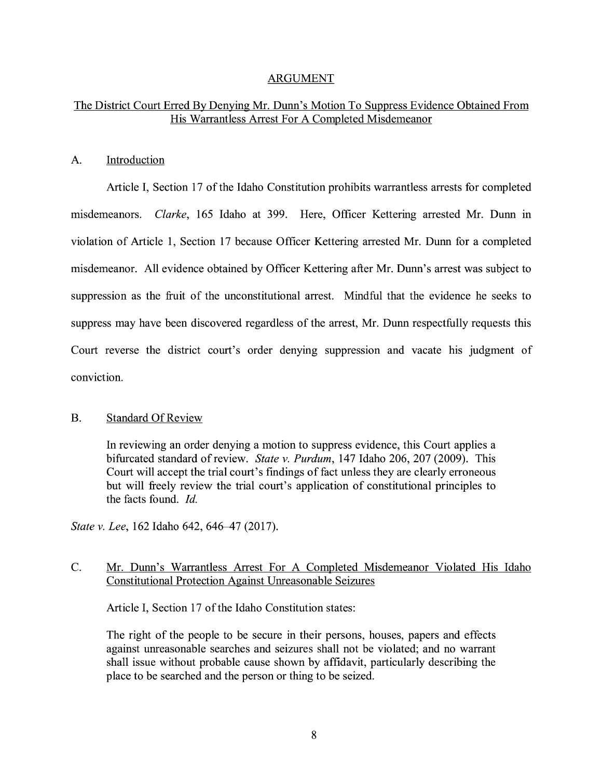## ARGUMENT

## The District Court Erred By Denying Mr. Dunn's Motion To Suppress Evidence Obtained From His Warrantless Arrest For A Completed Misdemeanor

## A. Introduction

Article I, Section 17 of the Idaho Constitution prohibits warrantless arrests for completed misdemeanors. *Clarke,* 165 Idaho at 399. Here, Officer Kettering arrested Mr. Dunn in violation of Article 1, Section 17 because Officer Kettering arrested Mr. Dunn for a completed misdemeanor. All evidence obtained by Officer Kettering after Mr. Dunn's arrest was subject to suppression as the fruit of the unconstitutional arrest. Mindful that the evidence he seeks to suppress may have been discovered regardless of the arrest, Mr. Dunn respectfully requests this Court reverse the district court's order denying suppression and vacate his judgment of conviction.

## B. Standard Of Review

In reviewing an order denying a motion to suppress evidence, this Court applies a bifurcated standard ofreview. *State v. Purdum,* 147 Idaho 206, 207 (2009). This Court will accept the trial court's findings of fact unless they are clearly erroneous but will freely review the trial court's application of constitutional principles to the facts found. *Id.* 

*State v. Lee, 162 Idaho 642, 646–47 (2017).* 

## C. Mr. Dunn's Warrantless Arrest For A Completed Misdemeanor Violated His Idaho Constitutional Protection Against Unreasonable Seizures

Article I, Section 17 of the Idaho Constitution states:

The right of the people to be secure in their persons, houses, papers and effects against unreasonable searches and seizures shall not be violated; and no warrant shall issue without probable cause shown by affidavit, particularly describing the place to be searched and the person or thing to be seized.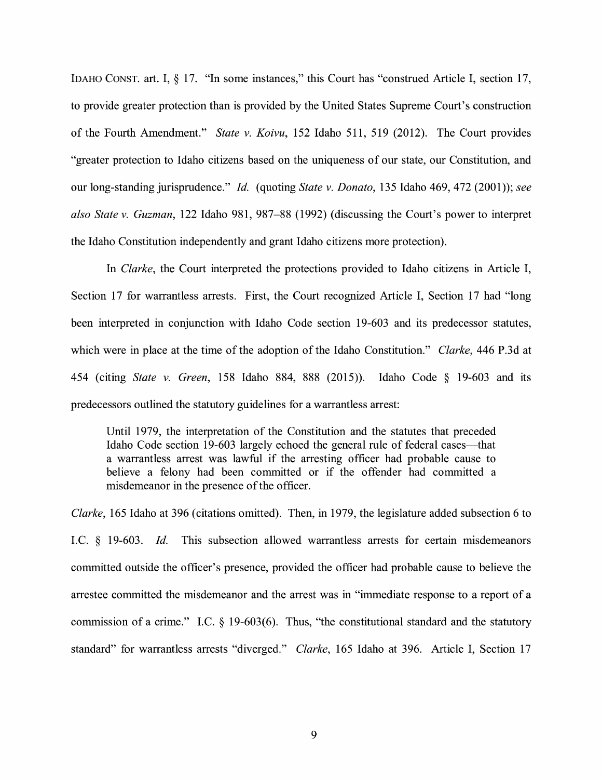IDAHO CONST. art. I, § 17. "In some instances," this Court has "construed Article I, section 17, to provide greater protection than is provided by the United States Supreme Court's construction of the Fourth Amendment." *State v. Koivu,* 152 Idaho 511, 519 (2012). The Court provides "greater protection to Idaho citizens based on the uniqueness of our state, our Constitution, and our long-standing jurisprudence." *Id.* (quoting *State v. Donato,* 135 Idaho 469, 472 (2001)); *see also State v. Guzman,* 122 Idaho 981, 987-88 (1992) (discussing the Court's power to interpret the Idaho Constitution independently and grant Idaho citizens more protection).

In *Clarke,* the Court interpreted the protections provided to Idaho citizens in Article I, Section 17 for warrantless arrests. First, the Court recognized Article I, Section 17 had "long been interpreted in conjunction with Idaho Code section 19-603 and its predecessor statutes, which were in place at the time of the adoption of the Idaho Constitution." *Clarke,* 446 P.3d at 454 (citing *State v. Green,* 158 Idaho 884, 888 (2015)). Idaho Code § 19-603 and its predecessors outlined the statutory guidelines for a warrantless arrest:

Until 1979, the interpretation of the Constitution and the statutes that preceded Idaho Code section 19-603 largely echoed the general rule of federal cases-that a warrantless arrest was lawful if the arresting officer had probable cause to believe a felony had been committed or if the offender had committed a misdemeanor in the presence of the officer.

*Clarke,* 165 Idaho at 396 (citations omitted). Then, in 1979, the legislature added subsection 6 to LC. § 19-603. *Id.* This subsection allowed warrantless arrests for certain misdemeanors committed outside the officer's presence, provided the officer had probable cause to believe the arrestee committed the misdemeanor and the arrest was in "immediate response to a report of a commission of a crime." I.C.  $\S$  19-603(6). Thus, "the constitutional standard and the statutory standard" for warrantless arrests "diverged." *Clarke,* 165 Idaho at 396. Article I, Section 17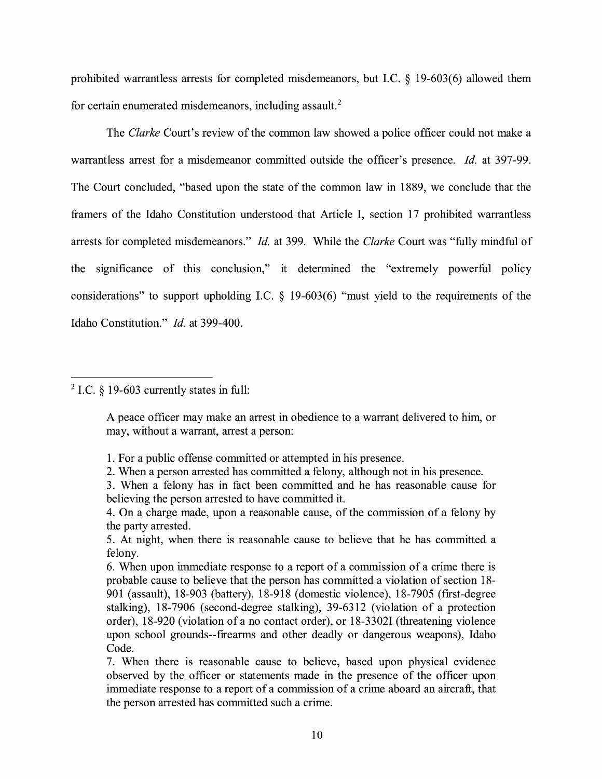prohibited warrantless arrests for completed misdemeanors, but LC. § 19-603(6) allowed them for certain enumerated misdemeanors, including assault. <sup>2</sup>

The *Clarke* Court's review of the common law showed a police officer could not make a warrantless arrest for a misdemeanor committed outside the officer's presence. *Id.* at 397-99. The Court concluded, "based upon the state of the common law in 18 89, we conclude that the framers of the Idaho Constitution understood that Article I, section 17 prohibited warrantless arrests for completed misdemeanors." *Id.* at 399. While the *Clarke* Court was "fully mindful of the significance of this conclusion," it determined the "extremely powerful policy considerations" to support upholding LC. § 19-603(6) "must yield to the requirements of the Idaho Constitution." *Id.* at 399-400.

 $2$  I.C. § 19-603 currently states in full:

A peace officer may make an arrest in obedience to a warrant delivered to him, or may, without a warrant, arrest a person:

- 2. When a person arrested has committed a felony, although not in his presence.
- 3. When a felony has in fact been committed and he has reasonable cause for believing the person arrested to have committed it.

4. On a charge made, upon a reasonable cause, of the commission of a felony by the party arrested.

5. At night, when there is reasonable cause to believe that he has committed a felony.

6. When upon immediate response to a report of a commission of a crime there is probable cause to believe that the person has committed a violation of section 18- 901 (assault), 18-903 (battery), 18-918 (domestic violence), 18-7905 (first-degree stalking), 18-7906 (second-degree stalking), 39-6312 (violation of a protection order), 18-920 (violation of a no contact order), or 18-33021 (threatening violence upon school grounds--firearms and other deadly or dangerous weapons), Idaho Code.

<sup>1.</sup> For a public offense committed or attempted in his presence.

<sup>7.</sup> When there is reasonable cause to believe, based upon physical evidence observed by the officer or statements made in the presence of the officer upon immediate response to a report of a commission of a crime aboard an aircraft, that the person arrested has committed such a crime.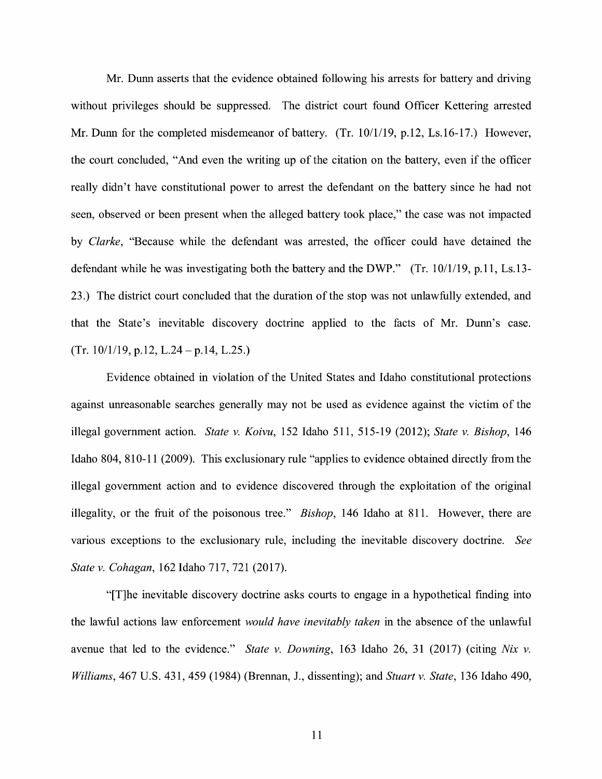Mr. Dunn asserts that the evidence obtained following his arrests for battery and driving without privileges should be suppressed. The district court found Officer Kettering arrested Mr. Dunn for the completed misdemeanor of battery. (Tr. 10/1/19, p.12, Ls.16-17.) However, the court concluded, "And even the writing up of the citation on the battery, even if the officer really didn't have constitutional power to arrest the defendant on the battery since he had not seen, observed or been present when the alleged battery took place," the case was not impacted by *Clarke,* "Because while the defendant was arrested, the officer could have detained the defendant while he was investigating both the battery and the DWP." (Tr. 10/1/19, p.11, Ls.13-23.) The district court concluded that the duration of the stop was not unlawfully extended, and that the State's inevitable discovery doctrine applied to the facts of Mr. Dunn's case. (Tr. 10/1/19, p.12, L.24 - p.14, L.25.)

Evidence obtained in violation of the United States and Idaho constitutional protections against unreasonable searches generally may not be used as evidence against the victim of the illegal government action. *State v. Koivu,* 152 Idaho 511, 515-19 (2012); *State v. Bishop,* 146 Idaho 804, 810-11 (2009). This exclusionary rule "applies to evidence obtained directly from the illegal government action and to evidence discovered through the exploitation of the original illegality, or the fruit of the poisonous tree." *Bishop,* 146 Idaho at 811. However, there are various exceptions to the exclusionary rule, including the inevitable discovery doctrine. *See State v. Cohagan,* 162 Idaho 717, 721 (2017).

"[T]he inevitable discovery doctrine asks courts to engage in a hypothetical finding into the lawful actions law enforcement *would have inevitably taken* in the absence of the unlawful avenue that led to the evidence." *State v. Downing,* 163 Idaho 26, 31 (2017) (citing *Nix v. Williams,* 467 U.S. 431, 459 (1984) (Brennan, J., dissenting); and *Stuart v. State,* 136 Idaho 490,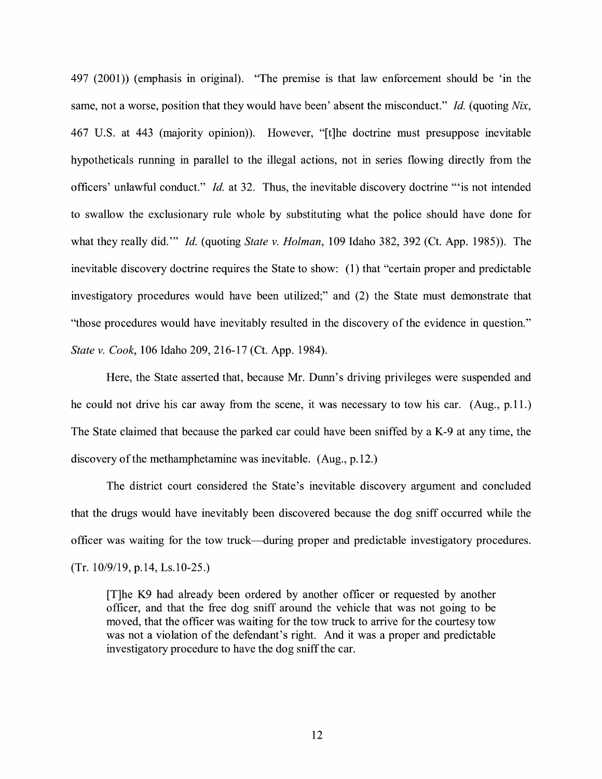497 (2001)) (emphasis in original). "The premise is that law enforcement should be 'in the same, not a worse, position that they would have been' absent the misconduct." *Id.* (quoting *Nix,*  467 U.S. at 443 (majority opinion)). However, "[t]he doctrine must presuppose inevitable hypotheticals running in parallel to the illegal actions, not in series flowing directly from the officers' unlawful conduct." *Id.* at 32. Thus, the inevitable discovery doctrine "'is not intended to swallow the exclusionary rule whole by substituting what the police should have done for what they really did."' *Id.* (quoting *State v. Holman,* 109 Idaho 382, 392 (Ct. App. 1985)). The inevitable discovery doctrine requires the State to show: (1) that "certain proper and predictable investigatory procedures would have been utilized;" and (2) the State must demonstrate that "those procedures would have inevitably resulted in the discovery of the evidence in question." *State v. Cook,* 106 Idaho 209, 216-17 (Ct. App. 1984).

Here, the State asserted that, because Mr. Dunn's driving privileges were suspended and he could not drive his car away from the scene, it was necessary to tow his car. (Aug., p.11.) The State claimed that because the parked car could have been sniffed by a K-9 at any time, the discovery of the methamphetamine was inevitable. (Aug., p.12.)

The district court considered the State's inevitable discovery argument and concluded that the drugs would have inevitably been discovered because the dog sniff occurred while the officer was waiting for the tow truck-during proper and predictable investigatory procedures. (Tr. 10/9/19, p.14, Ls.10-25.)

[T]he K9 had already been ordered by another officer or requested by another officer, and that the free dog sniff around the vehicle that was not going to be moved, that the officer was waiting for the tow truck to arrive for the courtesy tow was not a violation of the defendant's right. And it was a proper and predictable investigatory procedure to have the dog sniff the car.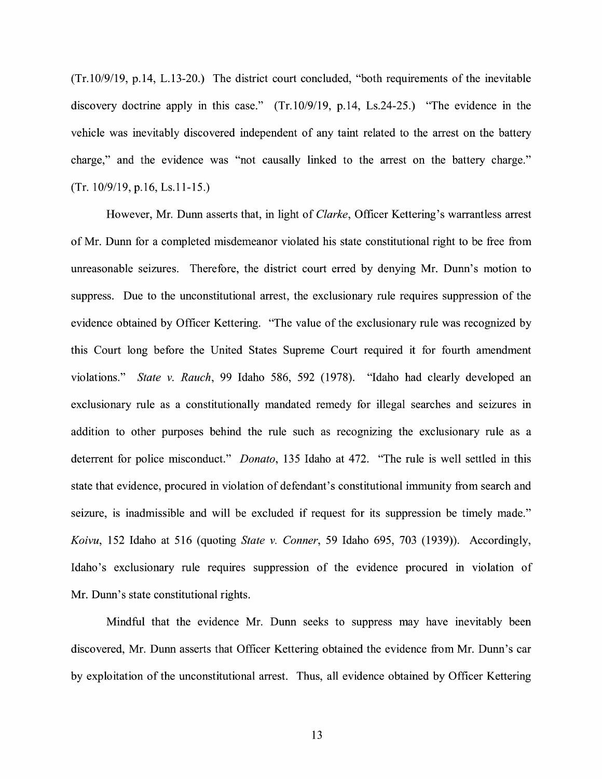(Tr.10/9/19, p.14, L.13-20.) The district court concluded, "both requirements of the inevitable discovery doctrine apply in this case." (Tr.10/9/19, p.14, Ls.24-25.) "The evidence in the vehicle was inevitably discovered independent of any taint related to the arrest on the battery charge," and the evidence was "not causally linked to the arrest on the battery charge." (Tr. 10/9/19, p.16, Ls.11-15.)

However, Mr. Dunn asserts that, in light of *Clarke,* Officer Kettering's warrantless arrest of Mr. Dunn for a completed misdemeanor violated his state constitutional right to be free from unreasonable seizures. Therefore, the district court erred by denying Mr. Dunn's motion to suppress. Due to the unconstitutional arrest, the exclusionary rule requires suppression of the evidence obtained by Officer Kettering. "The value of the exclusionary rule was recognized by this Court long before the United States Supreme Court required it for fourth amendment violations." *State v. Rauch,* 99 Idaho 586, 592 (1978). "Idaho had clearly developed an exclusionary rule as a constitutionally mandated remedy for illegal searches and seizures in addition to other purposes behind the rule such as recognizing the exclusionary rule as a deterrent for police misconduct." *Donato,* 135 Idaho at 472. "The rule is well settled in this state that evidence, procured in violation of defendant's constitutional immunity from search and seizure, is inadmissible and will be excluded if request for its suppression be timely made." *Koivu,* 152 Idaho at 516 (quoting *State v. Conner,* 59 Idaho 695, 703 (1939)). Accordingly, Idaho's exclusionary rule requires suppression of the evidence procured in violation of Mr. Dunn's state constitutional rights.

Mindful that the evidence Mr. Dunn seeks to suppress may have inevitably been discovered, Mr. Dunn asserts that Officer Kettering obtained the evidence from Mr. Dunn's car by exploitation of the unconstitutional arrest. Thus, all evidence obtained by Officer Kettering